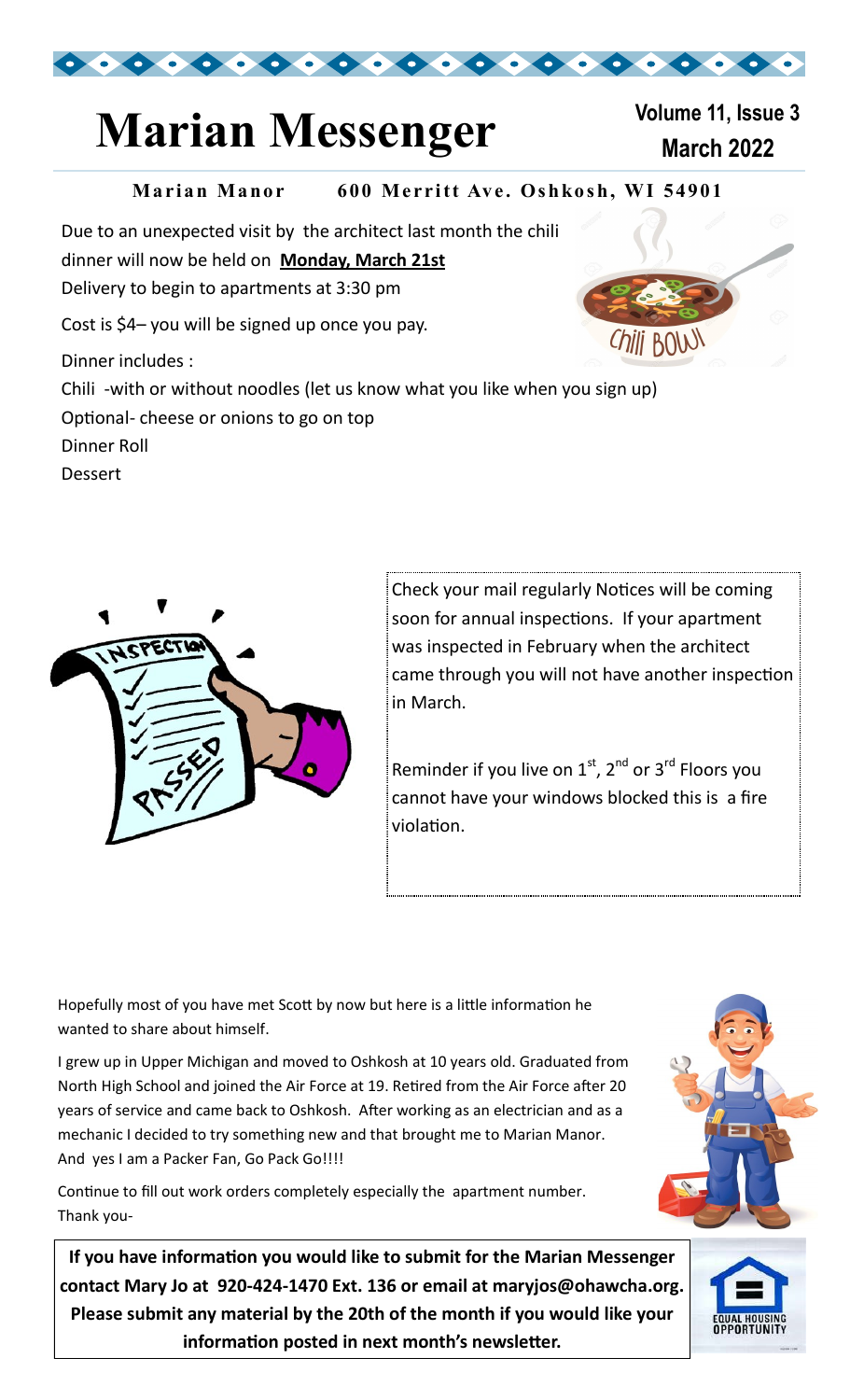

## **Marian Messenger Marian 2022**

# **Volume 11, Issue 3**

*Chill* BOW

#### **Marian Manor** 600 Merritt Ave. Oshkosh, WI 54901

Due to an unexpected visit by the architect last month the chili dinner will now be held on **Monday, March 21st**  Delivery to begin to apartments at 3:30 pm Cost is \$4– you will be signed up once you pay. Dinner includes :

Chili -with or without noodles (let us know what you like when you sign up)

Optional- cheese or onions to go on top

Dinner Roll

Dessert



Check your mail regularly Notices will be coming soon for annual inspections. If your apartment was inspected in February when the architect came through you will not have another inspection in March.

Reminder if you live on  $1<sup>st</sup>$ ,  $2<sup>nd</sup>$  or  $3<sup>rd</sup>$  Floors you cannot have your windows blocked this is a fire violation.

Hopefully most of you have met Scott by now but here is a little information he wanted to share about himself.

I grew up in Upper Michigan and moved to Oshkosh at 10 years old. Graduated from North High School and joined the Air Force at 19. Retired from the Air Force after 20 years of service and came back to Oshkosh. After working as an electrician and as a mechanic I decided to try something new and that brought me to Marian Manor. And yes I am a Packer Fan, Go Pack Go!!!!

Continue to fill out work orders completely especially the apartment number. Thank you-

**If you have information you would like to submit for the Marian Messenger contact Mary Jo at 920-424-1470 Ext. 136 or email at maryjos@ohawcha.org. Please submit any material by the 20th of the month if you would like your information posted in next month's newsletter.**



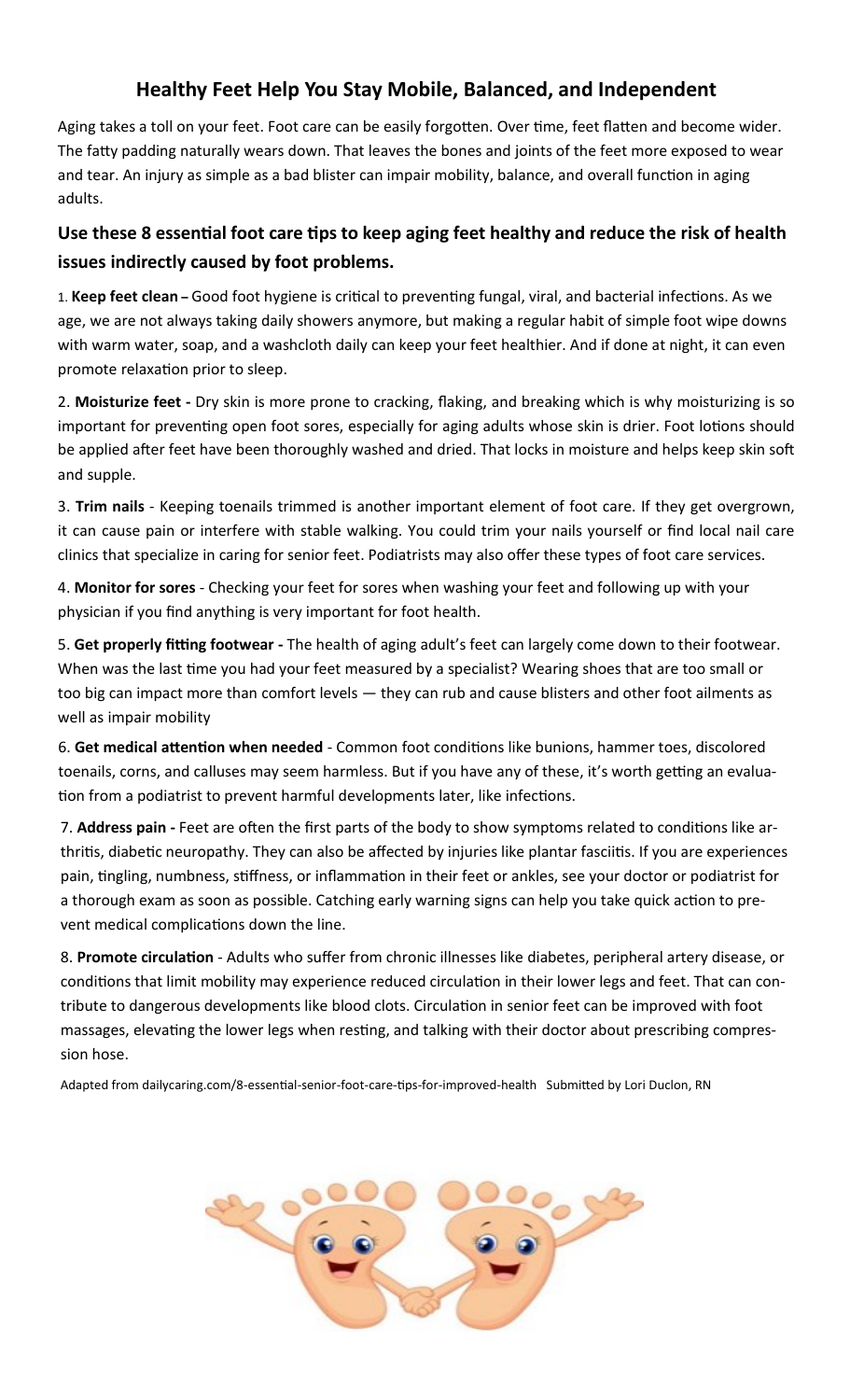#### **Healthy Feet Help You Stay Mobile, Balanced, and Independent**

Aging takes a toll on your feet. Foot care can be easily forgotten. Over time, feet flatten and become wider. The fatty padding naturally wears down. That leaves the bones and joints of the feet more exposed to wear and tear. An injury as simple as a bad blister can impair mobility, balance, and overall function in aging adults.

#### **Use these 8 essential foot care tips to keep aging feet healthy and reduce the risk of health issues indirectly caused by foot problems.**

1. **Keep feet clean –** Good foot hygiene is critical to preventing fungal, viral, and bacterial infections. As we age, we are not always taking daily showers anymore, but making a regular habit of simple foot wipe downs with warm water, soap, and a washcloth daily can keep your feet healthier. And if done at night, it can even promote relaxation prior to sleep.

2. **Moisturize feet -** Dry skin is more prone to cracking, flaking, and breaking which is why moisturizing is so important for preventing open foot sores, especially for aging adults whose skin is drier. Foot lotions should be applied after feet have been thoroughly washed and dried. That locks in moisture and helps keep skin soft and supple.

3. **Trim nails** - Keeping toenails trimmed is another important element of foot care. If they get overgrown, it can cause pain or interfere with stable walking. You could trim your nails yourself or find local nail care clinics that specialize in caring for senior feet. Podiatrists may also offer these types of foot care services.

4. **Monitor for sores** - Checking your feet for sores when washing your feet and following up with your physician if you find anything is very important for foot health.

5. **Get properly fitting footwear -** The health of aging adult's feet can largely come down to their footwear. When was the last time you had your feet measured by a specialist? Wearing shoes that are too small or too big can impact more than comfort levels — they can rub and cause blisters and other foot ailments as well as impair mobility

6. **Get medical attention when needed** - Common foot conditions like bunions, hammer toes, discolored toenails, corns, and calluses may seem harmless. But if you have any of these, it's worth getting an evaluation from a podiatrist to prevent harmful developments later, like infections.

7. **Address pain -** Feet are often the first parts of the body to show symptoms related to conditions like arthritis, diabetic neuropathy. They can also be affected by injuries like plantar fasciitis. If you are experiences pain, tingling, numbness, stiffness, or inflammation in their feet or ankles, see your doctor or podiatrist for a thorough exam as soon as possible. Catching early warning signs can help you take quick action to prevent medical complications down the line.

8. **Promote circulation** - Adults who suffer from chronic illnesses like diabetes, peripheral artery disease, or conditions that limit mobility may experience reduced circulation in their lower legs and feet. That can contribute to dangerous developments like blood clots. Circulation in senior feet can be improved with foot massages, elevating the lower legs when resting, and talking with their doctor about prescribing compression hose.

Adapted from dailycaring.com/8-essential-senior-foot-care-tips-for-improved-health Submitted by Lori Duclon, RN

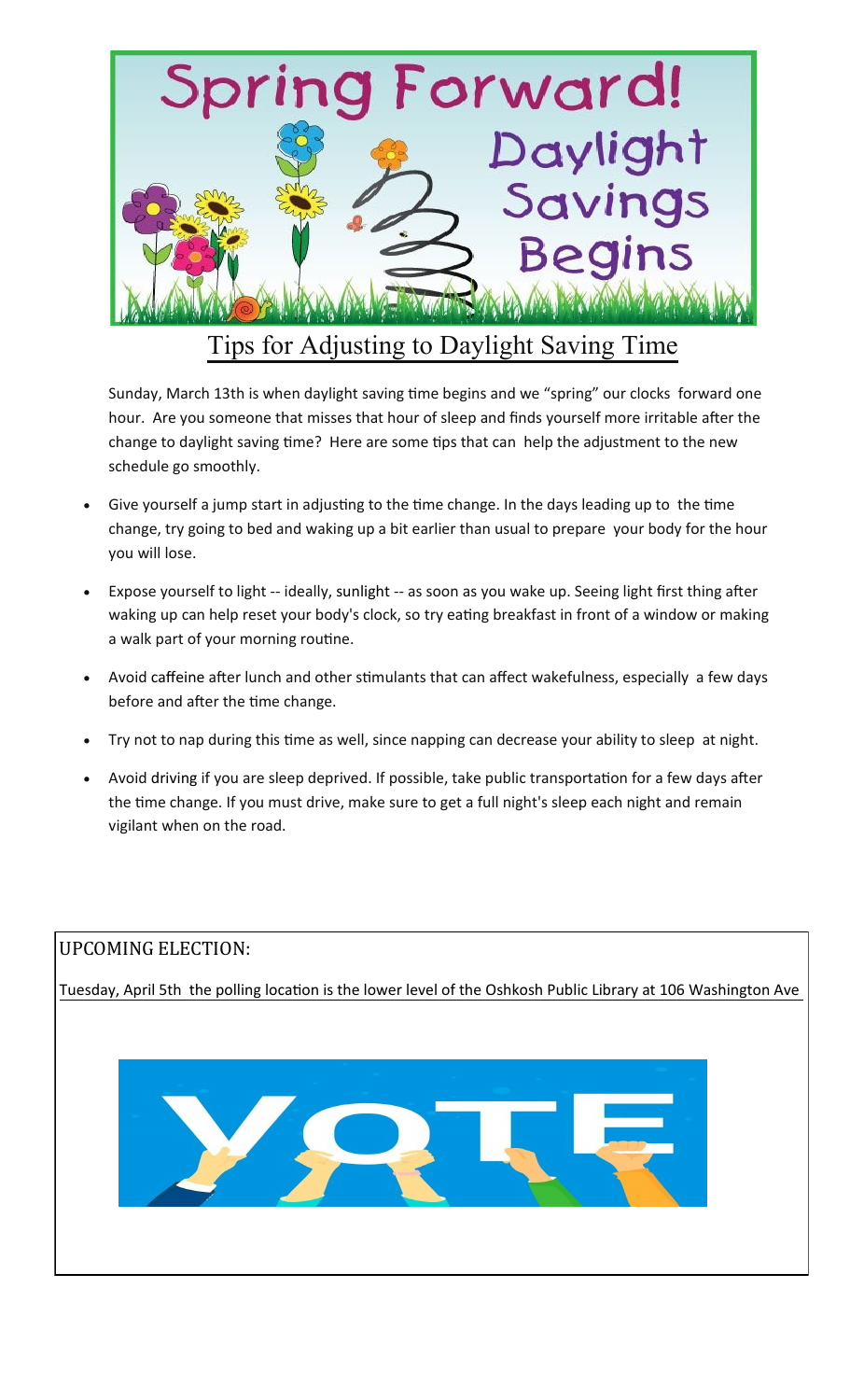

### Tips for Adjusting to Daylight Saving Time

Sunday, March 13th is when daylight saving time begins and we "spring" our clocks forward one hour. Are you someone that misses that hour of sleep and finds yourself more irritable after the change to daylight saving time? Here are some tips that can help the adjustment to the new schedule go smoothly.

- Give yourself a jump start in adjusting to the time change. In the days leading up to the time change, try going to bed and waking up a bit earlier than usual to prepare your body for the hour you will lose.
- Expose yourself to light -- ideally, sunlight -- as soon as you wake up. Seeing light first thing after waking up can help reset your body's clock, so try eating breakfast in front of a window or making a walk part of your morning routine.
- Avoid caffeine after lunch and other stimulants that can affect wakefulness, especially a few days before and after the time change.
- Try not to nap during this time as well, since napping can decrease your ability to sleep at night.
- Avoid driving if you are sleep deprived. If possible, take public transportation for a few days after the time change. If you must drive, make sure to get a full night's sleep each night and remain vigilant when on the road.